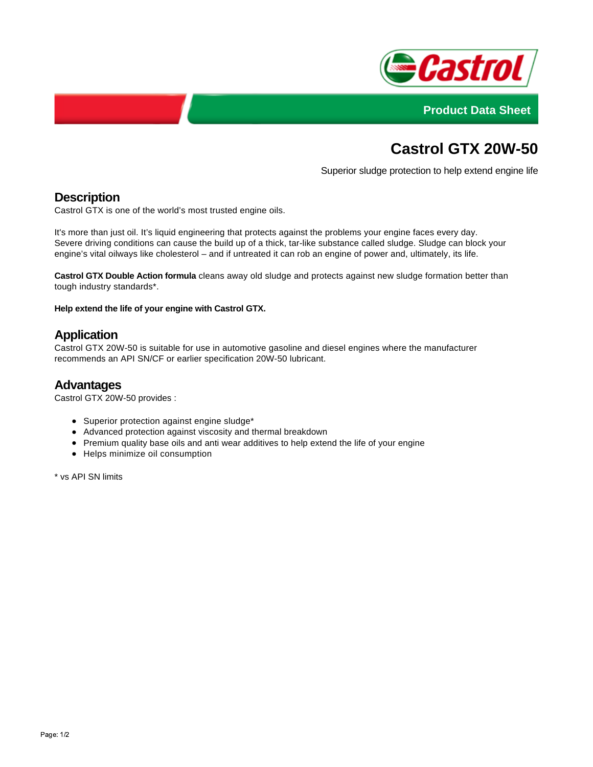



# **Castrol GTX 20W-50**

Superior sludge protection to help extend engine life

# **Description**

Castrol GTX is one of the world's most trusted engine oils.

It's more than just oil. It's liquid engineering that protects against the problems your engine faces every day. Severe driving conditions can cause the build up of a thick, tar-like substance called sludge. Sludge can block your engine's vital oilways like cholesterol – and if untreated it can rob an engine of power and, ultimately, its life.

**Castrol GTX Double Action formula** cleans away old sludge and protects against new sludge formation better than tough industry standards\*.

**Help extend the life of your engine with Castrol GTX.**

## **Application**

Castrol GTX 20W-50 is suitable for use in automotive gasoline and diesel engines where the manufacturer recommends an API SN/CF or earlier specification 20W-50 lubricant.

#### **Advantages**

Castrol GTX 20W-50 provides :

- Superior protection against engine sludge\*
- Advanced protection against viscosity and thermal breakdown
- Premium quality base oils and anti wear additives to help extend the life of your engine
- Helps minimize oil consumption

\* vs API SN limits